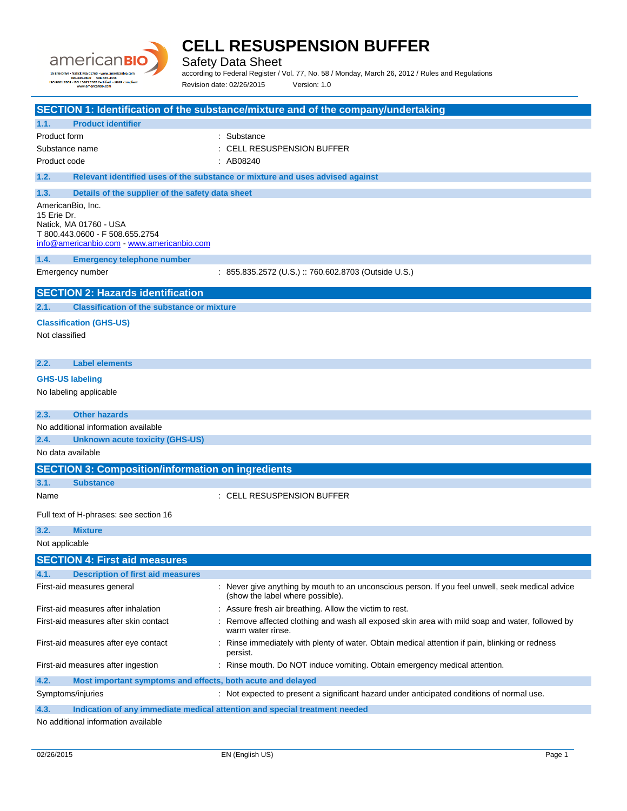

Safety Data Sheet

according to Federal Register / Vol. 77, No. 58 / Monday, March 26, 2012 / Rules and Regulations Revision date: 02/26/2015 Version: 1.0

|                                                                                    | SECTION 1: Identification of the substance/mixture and of the company/undertaking                                                    |
|------------------------------------------------------------------------------------|--------------------------------------------------------------------------------------------------------------------------------------|
| <b>Product identifier</b><br>1.1.                                                  |                                                                                                                                      |
| Product form                                                                       | : Substance                                                                                                                          |
| Substance name                                                                     | <b>CELL RESUSPENSION BUFFER</b>                                                                                                      |
| Product code                                                                       | : AB08240                                                                                                                            |
| 1.2.                                                                               | Relevant identified uses of the substance or mixture and uses advised against                                                        |
| 1.3.<br>Details of the supplier of the safety data sheet                           |                                                                                                                                      |
| AmericanBio, Inc.                                                                  |                                                                                                                                      |
| 15 Erie Dr.<br>Natick, MA 01760 - USA                                              |                                                                                                                                      |
| T 800.443.0600 - F 508.655.2754                                                    |                                                                                                                                      |
| info@americanbio.com - www.americanbio.com                                         |                                                                                                                                      |
| 1.4.<br><b>Emergency telephone number</b>                                          |                                                                                                                                      |
| Emergency number                                                                   | : 855.835.2572 (U.S.) :: 760.602.8703 (Outside U.S.)                                                                                 |
| <b>SECTION 2: Hazards identification</b>                                           |                                                                                                                                      |
| 2.1.<br><b>Classification of the substance or mixture</b>                          |                                                                                                                                      |
| <b>Classification (GHS-US)</b>                                                     |                                                                                                                                      |
| Not classified                                                                     |                                                                                                                                      |
|                                                                                    |                                                                                                                                      |
| <b>Label elements</b><br>2.2.                                                      |                                                                                                                                      |
| <b>GHS-US labeling</b>                                                             |                                                                                                                                      |
| No labeling applicable                                                             |                                                                                                                                      |
| 2.3.<br><b>Other hazards</b>                                                       |                                                                                                                                      |
| No additional information available                                                |                                                                                                                                      |
| 2.4.<br><b>Unknown acute toxicity (GHS-US)</b>                                     |                                                                                                                                      |
| No data available                                                                  |                                                                                                                                      |
| <b>SECTION 3: Composition/information on ingredients</b>                           |                                                                                                                                      |
| 3.1.<br><b>Substance</b>                                                           |                                                                                                                                      |
| Name                                                                               | : CELL RESUSPENSION BUFFER                                                                                                           |
| Full text of H-phrases: see section 16                                             |                                                                                                                                      |
| 3.2.<br><b>Mixture</b>                                                             |                                                                                                                                      |
| Not applicable                                                                     |                                                                                                                                      |
| <b>SECTION 4: First aid measures</b>                                               |                                                                                                                                      |
| <b>Description of first aid measures</b><br>4.1.                                   |                                                                                                                                      |
| First-aid measures general                                                         | : Never give anything by mouth to an unconscious person. If you feel unwell, seek medical advice<br>(show the label where possible). |
| First-aid measures after inhalation                                                | : Assure fresh air breathing. Allow the victim to rest.                                                                              |
| First-aid measures after skin contact                                              | Remove affected clothing and wash all exposed skin area with mild soap and water, followed by                                        |
|                                                                                    | warm water rinse.                                                                                                                    |
| First-aid measures after eye contact                                               | Rinse immediately with plenty of water. Obtain medical attention if pain, blinking or redness<br>persist.                            |
| First-aid measures after ingestion                                                 | : Rinse mouth. Do NOT induce vomiting. Obtain emergency medical attention.                                                           |
| 4.2.<br>Most important symptoms and effects, both acute and delayed                |                                                                                                                                      |
| Symptoms/injuries                                                                  | : Not expected to present a significant hazard under anticipated conditions of normal use.                                           |
| 4.3.<br>Indication of any immediate medical attention and special treatment needed |                                                                                                                                      |
| No additional information available                                                |                                                                                                                                      |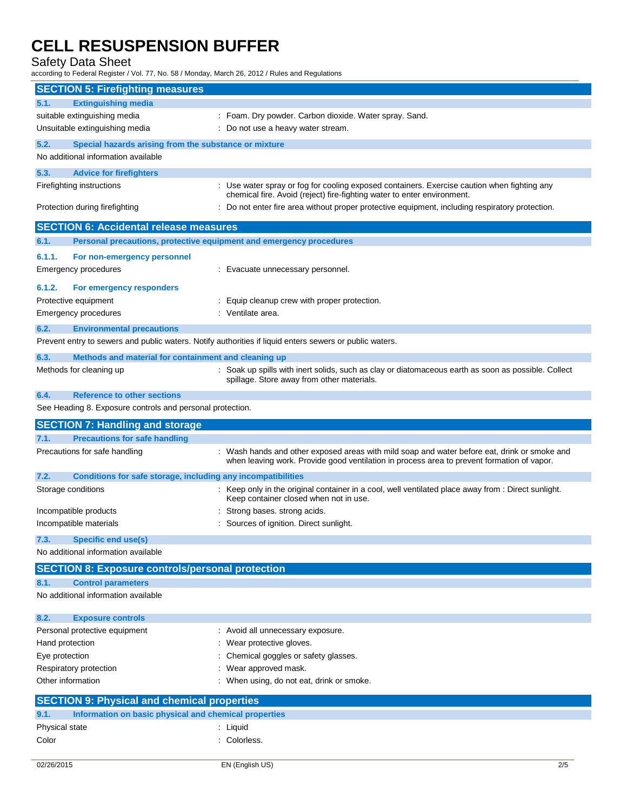Safety Data Sheet

according to Federal Register / Vol. 77, No. 58 / Monday, March 26, 2012 / Rules and Regulations

| <b>SECTION 5: Firefighting measures</b>                                  |                                                                                                                                                                                            |
|--------------------------------------------------------------------------|--------------------------------------------------------------------------------------------------------------------------------------------------------------------------------------------|
| <b>Extinguishing media</b><br>5.1.                                       |                                                                                                                                                                                            |
| suitable extinguishing media                                             | : Foam. Dry powder. Carbon dioxide. Water spray. Sand.                                                                                                                                     |
| Unsuitable extinguishing media                                           | : Do not use a heavy water stream.                                                                                                                                                         |
| 5.2.                                                                     | Special hazards arising from the substance or mixture                                                                                                                                      |
| No additional information available                                      |                                                                                                                                                                                            |
| 5.3.<br><b>Advice for firefighters</b>                                   |                                                                                                                                                                                            |
| Firefighting instructions                                                | : Use water spray or fog for cooling exposed containers. Exercise caution when fighting any                                                                                                |
| Protection during firefighting                                           | chemical fire. Avoid (reject) fire-fighting water to enter environment.<br>: Do not enter fire area without proper protective equipment, including respiratory protection.                 |
|                                                                          | <b>SECTION 6: Accidental release measures</b>                                                                                                                                              |
| 6.1.                                                                     | Personal precautions, protective equipment and emergency procedures                                                                                                                        |
| 6.1.1.<br>For non-emergency personnel                                    |                                                                                                                                                                                            |
| Emergency procedures                                                     | : Evacuate unnecessary personnel.                                                                                                                                                          |
|                                                                          |                                                                                                                                                                                            |
| 6.1.2.<br>For emergency responders                                       |                                                                                                                                                                                            |
| Protective equipment                                                     | Equip cleanup crew with proper protection.                                                                                                                                                 |
| Emergency procedures                                                     | : Ventilate area.                                                                                                                                                                          |
| 6.2.<br><b>Environmental precautions</b>                                 |                                                                                                                                                                                            |
|                                                                          | Prevent entry to sewers and public waters. Notify authorities if liquid enters sewers or public waters.                                                                                    |
| 6.3.                                                                     | Methods and material for containment and cleaning up                                                                                                                                       |
| Methods for cleaning up                                                  | : Soak up spills with inert solids, such as clay or diatomaceous earth as soon as possible. Collect<br>spillage. Store away from other materials.                                          |
| <b>Reference to other sections</b><br>6.4.                               |                                                                                                                                                                                            |
|                                                                          | See Heading 8. Exposure controls and personal protection.                                                                                                                                  |
|                                                                          |                                                                                                                                                                                            |
| <b>SECTION 7: Handling and storage</b>                                   |                                                                                                                                                                                            |
| 7.1.<br><b>Precautions for safe handling</b>                             |                                                                                                                                                                                            |
| Precautions for safe handling                                            | : Wash hands and other exposed areas with mild soap and water before eat, drink or smoke and<br>when leaving work. Provide good ventilation in process area to prevent formation of vapor. |
| 7.2.                                                                     | Conditions for safe storage, including any incompatibilities                                                                                                                               |
| Storage conditions                                                       | : Keep only in the original container in a cool, well ventilated place away from : Direct sunlight.<br>Keep container closed when not in use.                                              |
| Incompatible products                                                    | Strong bases. strong acids.                                                                                                                                                                |
| Incompatible materials                                                   | Sources of ignition. Direct sunlight.                                                                                                                                                      |
| <b>Specific end use(s)</b><br>7.3.                                       |                                                                                                                                                                                            |
| No additional information available                                      |                                                                                                                                                                                            |
|                                                                          | <b>SECTION 8: Exposure controls/personal protection</b>                                                                                                                                    |
| <b>Control parameters</b><br>8.1.<br>No additional information available |                                                                                                                                                                                            |
|                                                                          |                                                                                                                                                                                            |
| 8.2.<br><b>Exposure controls</b>                                         |                                                                                                                                                                                            |
| Personal protective equipment<br>Hand protection                         | : Avoid all unnecessary exposure.<br>: Wear protective gloves.                                                                                                                             |
| Eye protection                                                           | Chemical goggles or safety glasses.                                                                                                                                                        |
| Respiratory protection                                                   | Wear approved mask.                                                                                                                                                                        |
| Other information                                                        | When using, do not eat, drink or smoke.                                                                                                                                                    |
|                                                                          | <b>SECTION 9: Physical and chemical properties</b>                                                                                                                                         |
| 9.1.                                                                     | Information on basic physical and chemical properties                                                                                                                                      |
| Physical state                                                           | : Liquid                                                                                                                                                                                   |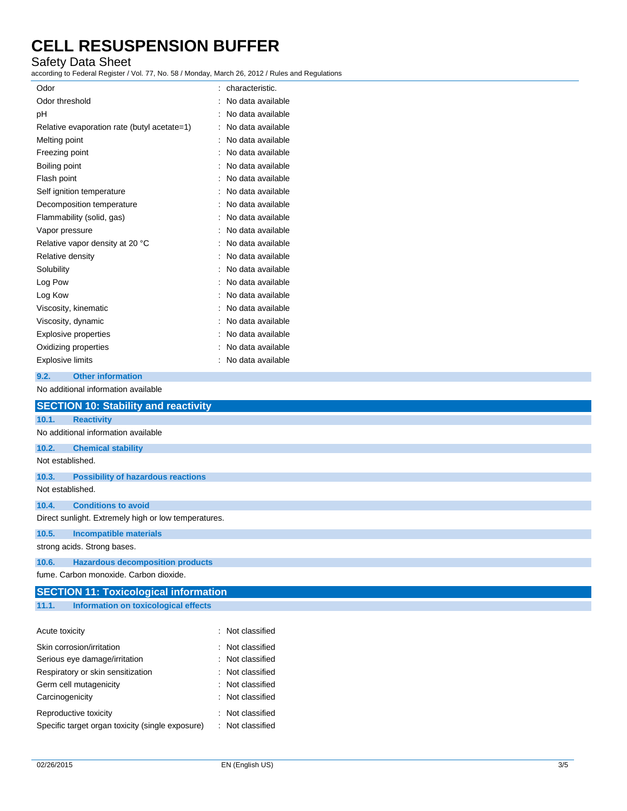### Safety Data Sheet

according to Federal Register / Vol. 77, No. 58 / Monday, March 26, 2012 / Rules and Regulations

| Odor                                        | characteristic.   |
|---------------------------------------------|-------------------|
| Odor threshold                              | No data available |
| рH                                          | No data available |
| Relative evaporation rate (butyl acetate=1) | No data available |
| Melting point                               | No data available |
| Freezing point                              | No data available |
| Boiling point                               | No data available |
| Flash point                                 | No data available |
| Self ignition temperature                   | No data available |
| Decomposition temperature                   | No data available |
| Flammability (solid, gas)                   | No data available |
| Vapor pressure                              | No data available |
| Relative vapor density at 20 °C             | No data available |
| Relative density                            | No data available |
| Solubility                                  | No data available |
| Log Pow                                     | No data available |
| Log Kow                                     | No data available |
| Viscosity, kinematic                        | No data available |
| Viscosity, dynamic                          | No data available |
| Explosive properties                        | No data available |
| Oxidizing properties                        | No data available |
| <b>Explosive limits</b>                     | No data available |

#### **9.2. Other information**

No additional information available

| <b>SECTION 10: Stability and reactivity</b>          |                  |  |  |
|------------------------------------------------------|------------------|--|--|
| 10.1.<br><b>Reactivity</b>                           |                  |  |  |
| No additional information available                  |                  |  |  |
| 10.2.<br><b>Chemical stability</b>                   |                  |  |  |
| Not established.                                     |                  |  |  |
| <b>Possibility of hazardous reactions</b><br>10.3.   |                  |  |  |
| Not established.                                     |                  |  |  |
| <b>Conditions to avoid</b><br>10.4.                  |                  |  |  |
| Direct sunlight. Extremely high or low temperatures. |                  |  |  |
| 10.5.<br><b>Incompatible materials</b>               |                  |  |  |
| strong acids. Strong bases.                          |                  |  |  |
| <b>Hazardous decomposition products</b><br>10.6.     |                  |  |  |
| fume. Carbon monoxide. Carbon dioxide.               |                  |  |  |
| <b>SECTION 11: Toxicological information</b>         |                  |  |  |
| 11.1.<br>Information on toxicological effects        |                  |  |  |
|                                                      |                  |  |  |
| Acute toxicity                                       | : Not classified |  |  |
| Skin corrosion/irritation                            | : Not classified |  |  |
| Serious eye damage/irritation                        | : Not classified |  |  |
| Respiratory or skin sensitization                    | : Not classified |  |  |
| Germ cell mutagenicity                               | Not classified   |  |  |
| Carcinogenicity                                      | Not classified   |  |  |

Reproductive toxicity **in the case of the CRS** control of the Reproductive toxicity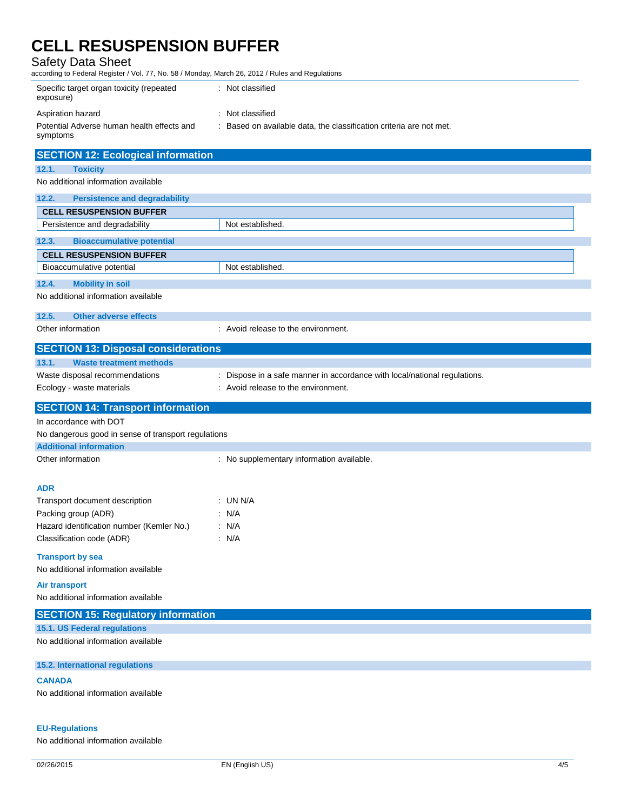Safety Data Sheet

according to Federal Register / Vol. 77, No. 58 / Monday, March 26, 2012 / Rules and Regulations

| Specific target organ toxicity (repeated<br>exposure)  | : Not classified                                                    |
|--------------------------------------------------------|---------------------------------------------------------------------|
| Aspiration hazard                                      | : Not classified                                                    |
| Potential Adverse human health effects and<br>symptoms | : Based on available data, the classification criteria are not met. |
| <b>SECTION 12: Ecological information</b>              |                                                                     |
| <b>Toxicity</b><br>12.1.                               |                                                                     |
| No additional information available                    |                                                                     |

| 12.2.<br><b>Persistence and degradability</b> |                                                                           |
|-----------------------------------------------|---------------------------------------------------------------------------|
| <b>CELL RESUSPENSION BUFFER</b>               |                                                                           |
| Persistence and degradability                 | Not established.                                                          |
| 12.3.<br><b>Bioaccumulative potential</b>     |                                                                           |
| <b>CELL RESUSPENSION BUFFER</b>               |                                                                           |
| Bioaccumulative potential                     | Not established.                                                          |
| 12.4.<br><b>Mobility in soil</b>              |                                                                           |
| No additional information available           |                                                                           |
| Other adverse effects<br>12.5.                |                                                                           |
| Other information                             | : Avoid release to the environment.                                       |
| <b>SECTION 13: Disposal considerations</b>    |                                                                           |
| <b>Waste treatment methods</b><br>13.1.       |                                                                           |
| Waste disposal recommendations                | : Dispose in a safe manner in accordance with local/national regulations. |
| Ecology - waste materials                     | : Avoid release to the environment.                                       |

## **SECTION 14: Transport information**

In accordance with DOT

No dangerous good in sense of transport regulations

| <b>Additional information</b> |
|-------------------------------|
|-------------------------------|

| Other information |  |
|-------------------|--|
|-------------------|--|

: No supplementary information available.

#### **ADR**

| Transport document description            | : UN N/A |
|-------------------------------------------|----------|
| Packing group (ADR)                       | : N/A    |
| Hazard identification number (Kemler No.) | : N/A    |
| Classification code (ADR)                 | : N/A    |

#### **Transport by sea**

No additional information available

**Air transport** No additional information available

### **SECTION 15: Regulatory information**

**15.1. US Federal regulations**

No additional information available

**15.2. International regulations**

### **CANADA**

No additional information available

### **EU-Regulations**

No additional information available